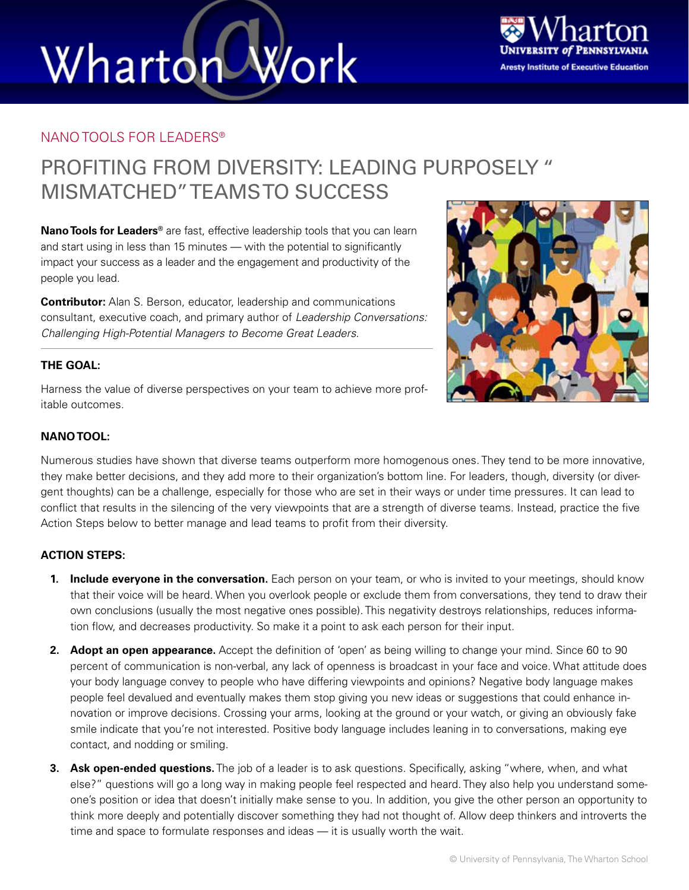# Work Wharton



### NANO TOOLS FOR LEADERS®

### PROFITING FROM DIVERSITY: LEADING PURPOSELY " MISMATCHED" TEAMS TO SUCCESS

**Nano Tools for Leaders®** are fast, effective leadership tools that you can learn and start using in less than 15 minutes — with the potential to significantly impact your success as a leader and the engagement and productivity of the people you lead.

**Contributor:** Alan S. Berson, educator, leadership and communications consultant, executive coach, and primary author of *Leadership Conversations: Challenging High-Potential Managers to Become Great Leaders*.



### **THE GOAL:**

Harness the value of diverse perspectives on your team to achieve more profitable outcomes.

#### **NANO TOOL:**

Numerous studies have shown that diverse teams outperform more homogenous ones. They tend to be more innovative, they make better decisions, and they add more to their organization's bottom line. For leaders, though, diversity (or divergent thoughts) can be a challenge, especially for those who are set in their ways or under time pressures. It can lead to conflict that results in the silencing of the very viewpoints that are a strength of diverse teams. Instead, practice the five Action Steps below to better manage and lead teams to profit from their diversity.

#### **ACTION STEPS:**

- **1. Include everyone in the conversation.** Each person on your team, or who is invited to your meetings, should know that their voice will be heard. When you overlook people or exclude them from conversations, they tend to draw their own conclusions (usually the most negative ones possible). This negativity destroys relationships, reduces information flow, and decreases productivity. So make it a point to ask each person for their input.
- **2. Adopt an open appearance.** Accept the definition of 'open' as being willing to change your mind. Since 60 to 90 percent of communication is non-verbal, any lack of openness is broadcast in your face and voice. What attitude does your body language convey to people who have differing viewpoints and opinions? Negative body language makes people feel devalued and eventually makes them stop giving you new ideas or suggestions that could enhance innovation or improve decisions. Crossing your arms, looking at the ground or your watch, or giving an obviously fake smile indicate that you're not interested. Positive body language includes leaning in to conversations, making eye contact, and nodding or smiling.
- **3. Ask open-ended questions.** The job of a leader is to ask questions. Specifically, asking "where, when, and what else?" questions will go a long way in making people feel respected and heard. They also help you understand someone's position or idea that doesn't initially make sense to you. In addition, you give the other person an opportunity to think more deeply and potentially discover something they had not thought of. Allow deep thinkers and introverts the time and space to formulate responses and ideas — it is usually worth the wait.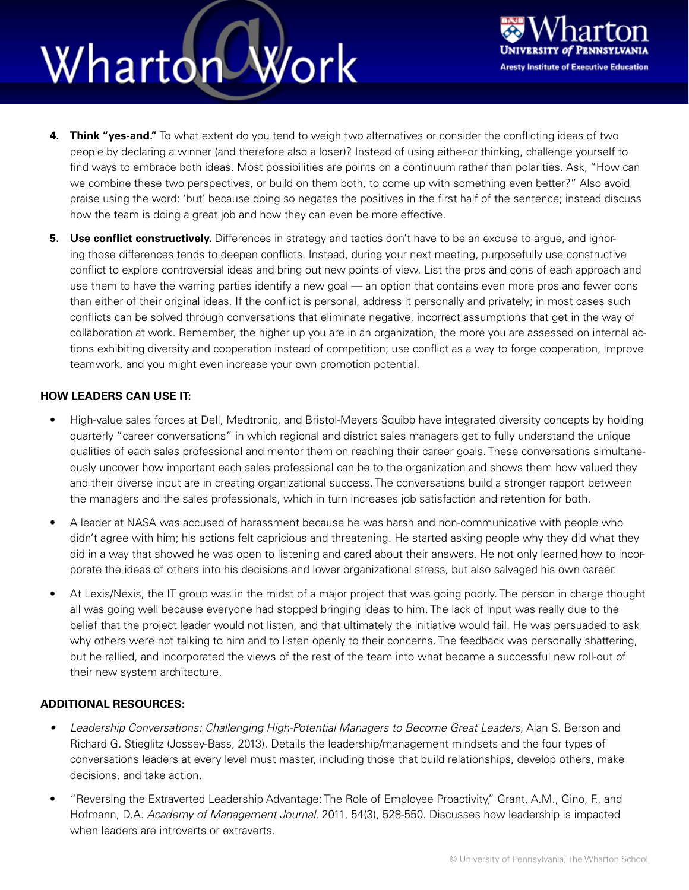## Wharton Work



- **4. Think "yes-and."** To what extent do you tend to weigh two alternatives or consider the conflicting ideas of two people by declaring a winner (and therefore also a loser)? Instead of using either-or thinking, challenge yourself to find ways to embrace both ideas. Most possibilities are points on a continuum rather than polarities. Ask, "How can we combine these two perspectives, or build on them both, to come up with something even better?" Also avoid praise using the word: 'but' because doing so negates the positives in the first half of the sentence; instead discuss how the team is doing a great job and how they can even be more effective.
- **5. Use conflict constructively.** Differences in strategy and tactics don't have to be an excuse to argue, and ignoring those differences tends to deepen conflicts. Instead, during your next meeting, purposefully use constructive conflict to explore controversial ideas and bring out new points of view. List the pros and cons of each approach and use them to have the warring parties identify a new goal — an option that contains even more pros and fewer cons than either of their original ideas. If the conflict is personal, address it personally and privately; in most cases such conflicts can be solved through conversations that eliminate negative, incorrect assumptions that get in the way of collaboration at work. Remember, the higher up you are in an organization, the more you are assessed on internal actions exhibiting diversity and cooperation instead of competition; use conflict as a way to forge cooperation, improve teamwork, and you might even increase your own promotion potential.

### **HOW LEADERS CAN USE IT:**

- High-value sales forces at Dell, Medtronic, and Bristol-Meyers Squibb have integrated diversity concepts by holding quarterly "career conversations" in which regional and district sales managers get to fully understand the unique qualities of each sales professional and mentor them on reaching their career goals. These conversations simultaneously uncover how important each sales professional can be to the organization and shows them how valued they and their diverse input are in creating organizational success. The conversations build a stronger rapport between the managers and the sales professionals, which in turn increases job satisfaction and retention for both.
- A leader at NASA was accused of harassment because he was harsh and non-communicative with people who didn't agree with him; his actions felt capricious and threatening. He started asking people why they did what they did in a way that showed he was open to listening and cared about their answers. He not only learned how to incorporate the ideas of others into his decisions and lower organizational stress, but also salvaged his own career.
- At Lexis/Nexis, the IT group was in the midst of a major project that was going poorly. The person in charge thought all was going well because everyone had stopped bringing ideas to him. The lack of input was really due to the belief that the project leader would not listen, and that ultimately the initiative would fail. He was persuaded to ask why others were not talking to him and to listen openly to their concerns. The feedback was personally shattering, but he rallied, and incorporated the views of the rest of the team into what became a successful new roll-out of their new system architecture.

### **ADDITIONAL RESOURCES:**

- *• Leadership Conversations: Challenging High-Potential Managers to Become Great Leaders*, Alan S. Berson and Richard G. Stieglitz (Jossey-Bass, 2013). Details the leadership/management mindsets and the four types of conversations leaders at every level must master, including those that build relationships, develop others, make decisions, and take action.
- "Reversing the Extraverted Leadership Advantage: The Role of Employee Proactivity," Grant, A.M., Gino, F., and Hofmann, D.A. *Academy of Management Journal*, 2011, 54(3), 528-550. Discusses how leadership is impacted when leaders are introverts or extraverts.